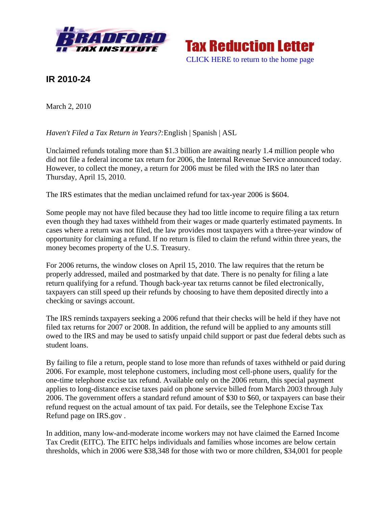



## **IR 2010-24**

March 2, 2010

*Haven't Filed a Tax Return in Years?:*English | Spanish | ASL

Unclaimed refunds totaling more than \$1.3 billion are awaiting nearly 1.4 million people who did not file a federal income tax return for 2006, the Internal Revenue Service announced today. However, to collect the money, a return for 2006 must be filed with the IRS no later than Thursday, April 15, 2010.

The IRS estimates that the median unclaimed refund for tax-year 2006 is \$604.

Some people may not have filed because they had too little income to require filing a tax return even though they had taxes withheld from their wages or made quarterly estimated payments. In cases where a return was not filed, the law provides most taxpayers with a three-year window of opportunity for claiming a refund. If no return is filed to claim the refund within three years, the money becomes property of the U.S. Treasury.

For 2006 returns, the window closes on April 15, 2010. The law requires that the return be properly addressed, mailed and postmarked by that date. There is no penalty for filing a late return qualifying for a refund. Though back-year tax returns cannot be filed electronically, taxpayers can still speed up their refunds by choosing to have them deposited directly into a checking or savings account.

The IRS reminds taxpayers seeking a 2006 refund that their checks will be held if they have not filed tax returns for 2007 or 2008. In addition, the refund will be applied to any amounts still owed to the IRS and may be used to satisfy unpaid child support or past due federal debts such as student loans.

By failing to file a return, people stand to lose more than refunds of taxes withheld or paid during 2006. For example, most telephone customers, including most cell-phone users, qualify for the one-time telephone excise tax refund. Available only on the 2006 return, this special payment applies to long-distance excise taxes paid on phone service billed from March 2003 through July 2006. The government offers a standard refund amount of \$30 to \$60, or taxpayers can base their refund request on the actual amount of tax paid. For details, see the Telephone Excise Tax Refund page on IRS.gov .

In addition, many low-and-moderate income workers may not have claimed the Earned Income Tax Credit (EITC). The EITC helps individuals and families whose incomes are below certain thresholds, which in 2006 were \$38,348 for those with two or more children, \$34,001 for people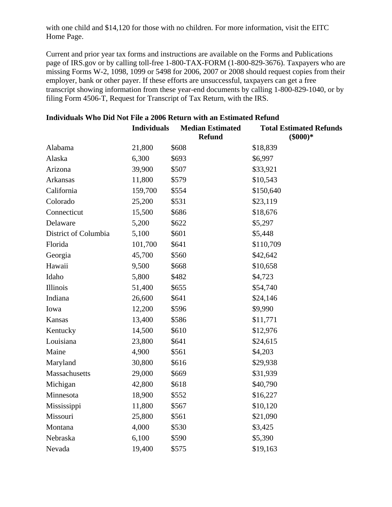with one child and \$14,120 for those with no children. For more information, visit the EITC Home Page.

Current and prior year tax forms and instructions are available on the Forms and Publications page of IRS.gov or by calling toll-free 1-800-TAX-FORM (1-800-829-3676). Taxpayers who are missing Forms W-2, 1098, 1099 or 5498 for 2006, 2007 or 2008 should request copies from their employer, bank or other payer. If these efforts are unsuccessful, taxpayers can get a free transcript showing information from these year-end documents by calling 1-800-829-1040, or by filing Form 4506-T, Request for Transcript of Tax Return, with the IRS.

|                      | <b>Individuals</b> | <b>Median Estimated</b><br><b>Refund</b> | <b>Total Estimated Refunds</b><br>$(\$000)*$ |
|----------------------|--------------------|------------------------------------------|----------------------------------------------|
| Alabama              | 21,800             | \$608                                    | \$18,839                                     |
| Alaska               | 6,300              | \$693                                    | \$6,997                                      |
| Arizona              | 39,900             | \$507                                    | \$33,921                                     |
| Arkansas             | 11,800             | \$579                                    | \$10,543                                     |
| California           | 159,700            | \$554                                    | \$150,640                                    |
| Colorado             | 25,200             | \$531                                    | \$23,119                                     |
| Connecticut          | 15,500             | \$686                                    | \$18,676                                     |
| Delaware             | 5,200              | \$622                                    | \$5,297                                      |
| District of Columbia | 5,100              | \$601                                    | \$5,448                                      |
| Florida              | 101,700            | \$641                                    | \$110,709                                    |
| Georgia              | 45,700             | \$560                                    | \$42,642                                     |
| Hawaii               | 9,500              | \$668                                    | \$10,658                                     |
| Idaho                | 5,800              | \$482                                    | \$4,723                                      |
| Illinois             | 51,400             | \$655                                    | \$54,740                                     |
| Indiana              | 26,600             | \$641                                    | \$24,146                                     |
| Iowa                 | 12,200             | \$596                                    | \$9,990                                      |
| Kansas               | 13,400             | \$586                                    | \$11,771                                     |
| Kentucky             | 14,500             | \$610                                    | \$12,976                                     |
| Louisiana            | 23,800             | \$641                                    | \$24,615                                     |
| Maine                | 4,900              | \$561                                    | \$4,203                                      |
| Maryland             | 30,800             | \$616                                    | \$29,938                                     |
| Massachusetts        | 29,000             | \$669                                    | \$31,939                                     |
| Michigan             | 42,800             | \$618                                    | \$40,790                                     |
| Minnesota            | 18,900             | \$552                                    | \$16,227                                     |
| Mississippi          | 11,800             | \$567                                    | \$10,120                                     |
| Missouri             | 25,800             | \$561                                    | \$21,090                                     |
| Montana              | 4,000              | \$530                                    | \$3,425                                      |
| Nebraska             | 6,100              | \$590                                    | \$5,390                                      |
| Nevada               | 19,400             | \$575                                    | \$19,163                                     |

## **Individuals Who Did Not File a 2006 Return with an Estimated Refund**